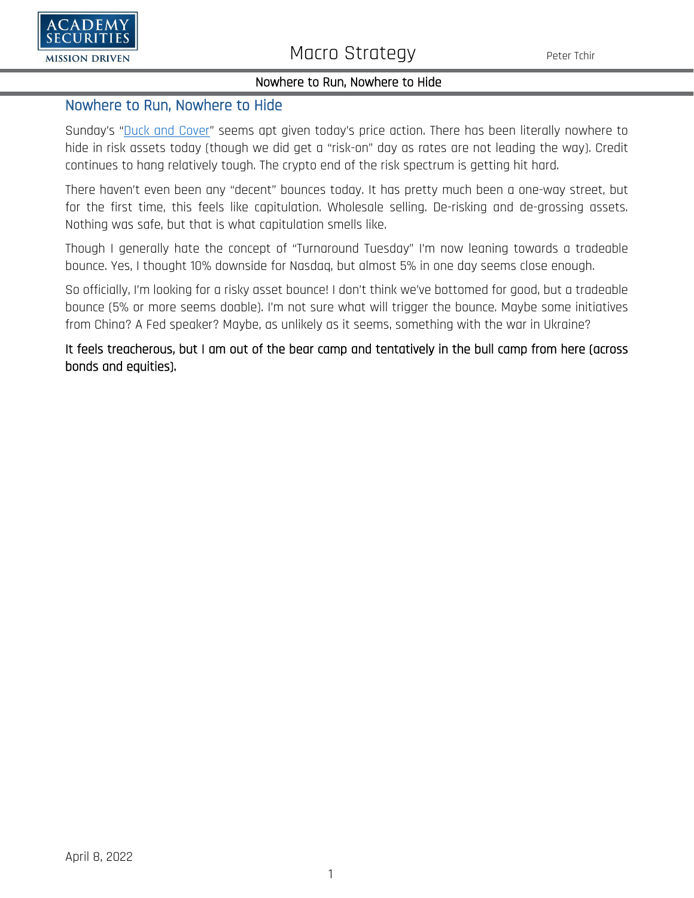

## Nowhere to Run, Nowhere to Hide

## Nowhere to Run, Nowhere to Hide

Sunday's ["Duck and Cover"](https://www.academysecurities.com/wordpress/wp-content/uploads/2022/05/Duck-and-Cover.pdf) seems apt given today's price action. There has been literally nowhere to hide in risk assets today (though we did get a "risk-on" day as rates are not leading the way). Credit continues to hang relatively tough. The crypto end of the risk spectrum is getting hit hard.

There haven't even been any "decent" bounces today. It has pretty much been a one-way street, but for the first time, this feels like capitulation. Wholesale selling. De-risking and de-grossing assets. Nothing was safe, but that is what capitulation smells like.

Though I generally hate the concept of "Turnaround Tuesday" I'm now leaning towards a tradeable bounce. Yes, I thought 10% downside for Nasdaq, but almost 5% in one day seems close enough.

So officially, I'm looking for a risky asset bounce! I don't think we've bottomed for good, but a tradeable bounce (5% or more seems doable). I'm not sure what will trigger the bounce. Maybe some initiatives from China? A Fed speaker? Maybe, as unlikely as it seems, something with the war in Ukraine?

It feels treacherous, but I am out of the bear camp and tentatively in the bull camp from here (across bonds and equities).